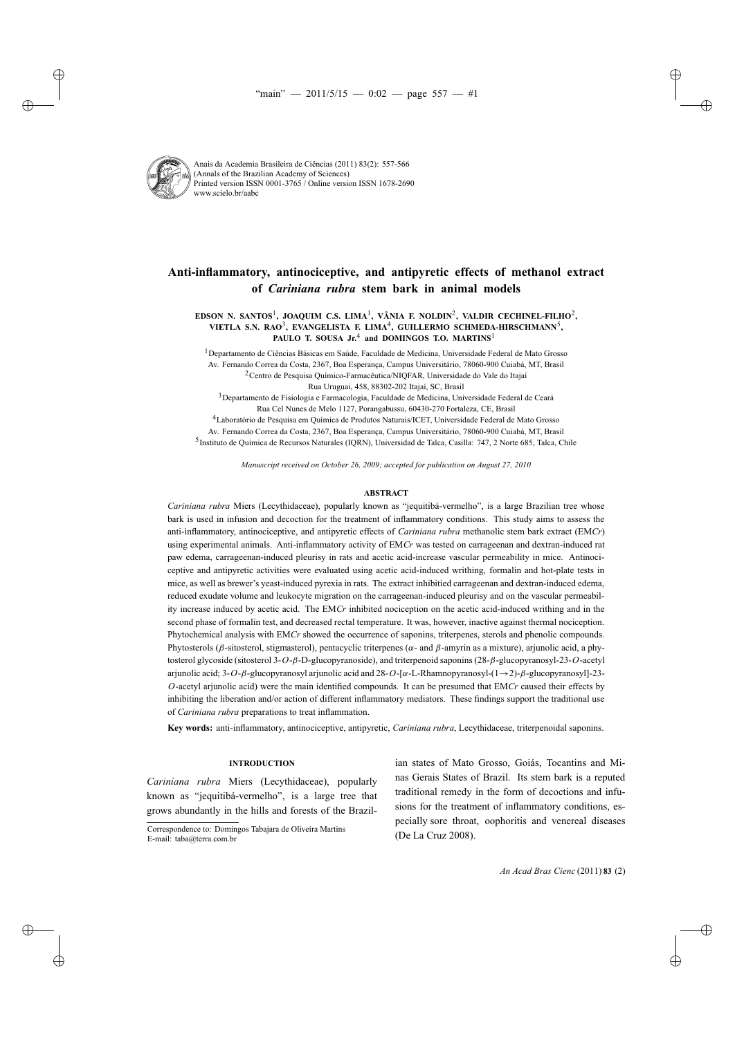

Anais da Academia Brasileira de Ciências (2011) 83(2): 557-566 (Annals of the Brazilian Academy of Sciences) Printed version ISSN 0001-3765 / Online version ISSN 1678-2690 www.scielo.br/aabc

# **Anti-inflammatory, antinociceptive, and antipyretic effects of methanol extract of** *Cariniana rubra* **stem bark in animal models**

**EDSON N. SANTOS**1**, JOAQUIM C.S. LIMA**1**, VÂNIA F. NOLDIN**2**, VALDIR CECHINEL-FILHO**2**, VIETLA S.N. RAO**3**, EVANGELISTA F. LIMA**4**, GUILLERMO SCHMEDA-HIRSCHMANN**5**, PAULO T. SOUSA Jr.**<sup>4</sup> **and DOMINGOS T.O. MARTINS**<sup>1</sup>

1Departamento de Ciências Básicas em Saúde, Faculdade de Medicina, Universidade Federal de Mato Grosso Av. Fernando Correa da Costa, 2367, Boa Esperança, Campus Universitário, 78060-900 Cuiabá, MT, Brasil

2Centro de Pesquisa Químico-Farmacêutica/NIQFAR, Universidade do Vale do Itajaí

Rua Uruguai, 458, 88302-202 Itajaí, SC, Brasil

3Departamento de Fisiologia e Farmacologia, Faculdade de Medicina, Universidade Federal de Ceará Rua Cel Nunes de Melo 1127, Porangabussu, 60430-270 Fortaleza, CE, Brasil

4Laboratório de Pesquisa em Química de Produtos Naturais/ICET, Universidade Federal de Mato Grosso Av. Fernando Correa da Costa, 2367, Boa Esperança, Campus Universitário, 78060-900 Cuiabá, MT, Brasil 5Instituto de Química de Recursos Naturales (IQRN), Universidad de Talca, Casilla: 747, 2 Norte 685, Talca, Chile

*Manuscript received on October 26, 2009; accepted for publication on August 27, 2010*

#### **ABSTRACT**

*Cariniana rubra* Miers (Lecythidaceae), popularly known as "jequitibá-vermelho", is a large Brazilian tree whose bark is used in infusion and decoction for the treatment of inflammatory conditions. This study aims to assess the anti-inflammatory, antinociceptive, and antipyretic effects of *Cariniana rubra* methanolic stem bark extract (EM*Cr*) using experimental animals. Anti-inflammatory activity of EM*Cr* was tested on carrageenan and dextran-induced rat paw edema, carrageenan-induced pleurisy in rats and acetic acid-increase vascular permeability in mice. Antinociceptive and antipyretic activities were evaluated using acetic acid-induced writhing, formalin and hot-plate tests in mice, as well as brewer's yeast-induced pyrexia in rats. The extract inhibitied carrageenan and dextran-induced edema, reduced exudate volume and leukocyte migration on the carrageenan-induced pleurisy and on the vascular permeability increase induced by acetic acid. The EM*Cr* inhibited nociception on the acetic acid-induced writhing and in the second phase of formalin test, and decreased rectal temperature. It was, however, inactive against thermal nociception. Phytochemical analysis with EM*Cr* showed the occurrence of saponins, triterpenes, sterols and phenolic compounds. Phytosterols (β-sitosterol, stigmasterol), pentacyclic triterpenes ( $\alpha$ - and β-amyrin as a mixture), arjunolic acid, a phytosterol glycoside (sitosterol 3-*O*-β-D-glucopyranoside), and triterpenoid saponins (28-β-glucopyranosyl-23-*O*-acetyl arjunolic acid; 3-*O*-β-glucopyranosyl arjunolic acid and 28-*O*-[α-L-Rhamnopyranosyl-(1→2)-β-glucopyranosyl]-23- *O*-acetyl arjunolic acid) were the main identified compounds. It can be presumed that EM*Cr* caused their effects by inhibiting the liberation and/or action of different inflammatory mediators. These findings support the traditional use of *Cariniana rubra* preparations to treat inflammation.

**Key words:** anti-inflammatory, antinociceptive, antipyretic, *Cariniana rubra*, Lecythidaceae, triterpenoidal saponins.

## **INTRODUCTION**

*Cariniana rubra* Miers (Lecythidaceae), popularly known as "jequitibá-vermelho", is a large tree that grows abundantly in the hills and forests of the Brazil-

ian states of Mato Grosso, Goiás, Tocantins and Minas Gerais States of Brazil. Its stem bark is a reputed traditional remedy in the form of decoctions and infusions for the treatment of inflammatory conditions, especially sore throat, oophoritis and venereal diseases (De La Cruz 2008).

Correspondence to: Domingos Tabajara de Oliveira Martins E-mail: taba@terra.com.br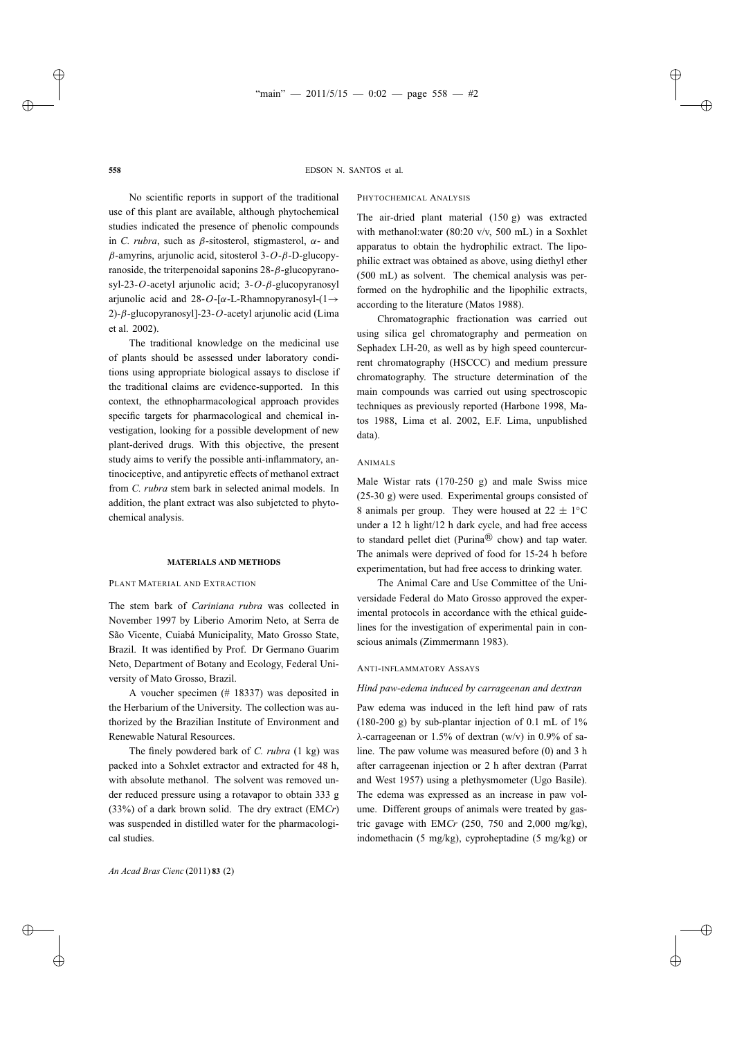PHYTOCHEMICAL ANALYSIS

No scientific reports in support of the traditional use of this plant are available, although phytochemical studies indicated the presence of phenolic compounds in *C. rubra*, such as  $\beta$ -sitosterol, stigmasterol,  $\alpha$ - and β-amyrins, arjunolic acid, sitosterol 3-*O*-β-D-glucopyranoside, the triterpenoidal saponins  $28 - \beta$ -glucopyranosyl-23-*O*-acetyl arjunolic acid; 3-*O*-β-glucopyranosyl arjunolic acid and  $28-O$ -[ $\alpha$ -L-Rhamnopyranosyl- $(1\rightarrow$ 2)-β-glucopyranosyl]-23-*O*-acetyl arjunolic acid (Lima et al. 2002).

The traditional knowledge on the medicinal use of plants should be assessed under laboratory conditions using appropriate biological assays to disclose if the traditional claims are evidence-supported. In this context, the ethnopharmacological approach provides specific targets for pharmacological and chemical investigation, looking for a possible development of new plant-derived drugs. With this objective, the present study aims to verify the possible anti-inflammatory, antinociceptive, and antipyretic effects of methanol extract from *C. rubra* stem bark in selected animal models. In addition, the plant extract was also subjetcted to phytochemical analysis.

#### **MATERIALS AND METHODS**

## PLANT MATERIAL AND EXTRACTION

The stem bark of *Cariniana rubra* was collected in November 1997 by Liberio Amorim Neto, at Serra de São Vicente, Cuiabá Municipality, Mato Grosso State, Brazil. It was identified by Prof. Dr Germano Guarim Neto, Department of Botany and Ecology, Federal University of Mato Grosso, Brazil.

A voucher specimen (# 18337) was deposited in the Herbarium of the University. The collection was authorized by the Brazilian Institute of Environment and Renewable Natural Resources.

The finely powdered bark of *C. rubra* (1 kg) was packed into a Sohxlet extractor and extracted for 48 h, with absolute methanol. The solvent was removed under reduced pressure using a rotavapor to obtain 333 g (33%) of a dark brown solid. The dry extract (EM*Cr*) was suspended in distilled water for the pharmacological studies.

according to the literature (Matos 1988). Chromatographic fractionation was carried out using silica gel chromatography and permeation on Sephadex LH-20, as well as by high speed countercurrent chromatography (HSCCC) and medium pressure chromatography. The structure determination of the main compounds was carried out using spectroscopic techniques as previously reported (Harbone 1998, Ma-

The air-dried plant material (150 g) was extracted with methanol:water (80:20 v/v, 500 mL) in a Soxhlet apparatus to obtain the hydrophilic extract. The lipophilic extract was obtained as above, using diethyl ether (500 mL) as solvent. The chemical analysis was performed on the hydrophilic and the lipophilic extracts,

tos 1988, Lima et al. 2002, E.F. Lima, unpublished data).

#### ANIMALS

Male Wistar rats (170-250 g) and male Swiss mice (25-30 g) were used. Experimental groups consisted of 8 animals per group. They were housed at  $22 \pm 1$ °C under a 12 h light/12 h dark cycle, and had free access to standard pellet diet (Purina $\mathbb{R}$  chow) and tap water. The animals were deprived of food for 15-24 h before experimentation, but had free access to drinking water.

The Animal Care and Use Committee of the Universidade Federal do Mato Grosso approved the experimental protocols in accordance with the ethical guidelines for the investigation of experimental pain in conscious animals (Zimmermann 1983).

#### ANTI-INFLAMMATORY ASSAYS

## *Hind paw-edema induced by carrageenan and dextran*

Paw edema was induced in the left hind paw of rats (180-200 g) by sub-plantar injection of 0.1 mL of  $1\%$ λ-carrageenan or 1.5% of dextran (w/v) in 0.9% of saline. The paw volume was measured before (0) and 3 h after carrageenan injection or 2 h after dextran (Parrat and West 1957) using a plethysmometer (Ugo Basile). The edema was expressed as an increase in paw volume. Different groups of animals were treated by gastric gavage with EM*Cr* (250, 750 and 2,000 mg/kg), indomethacin (5 mg/kg), cyproheptadine (5 mg/kg) or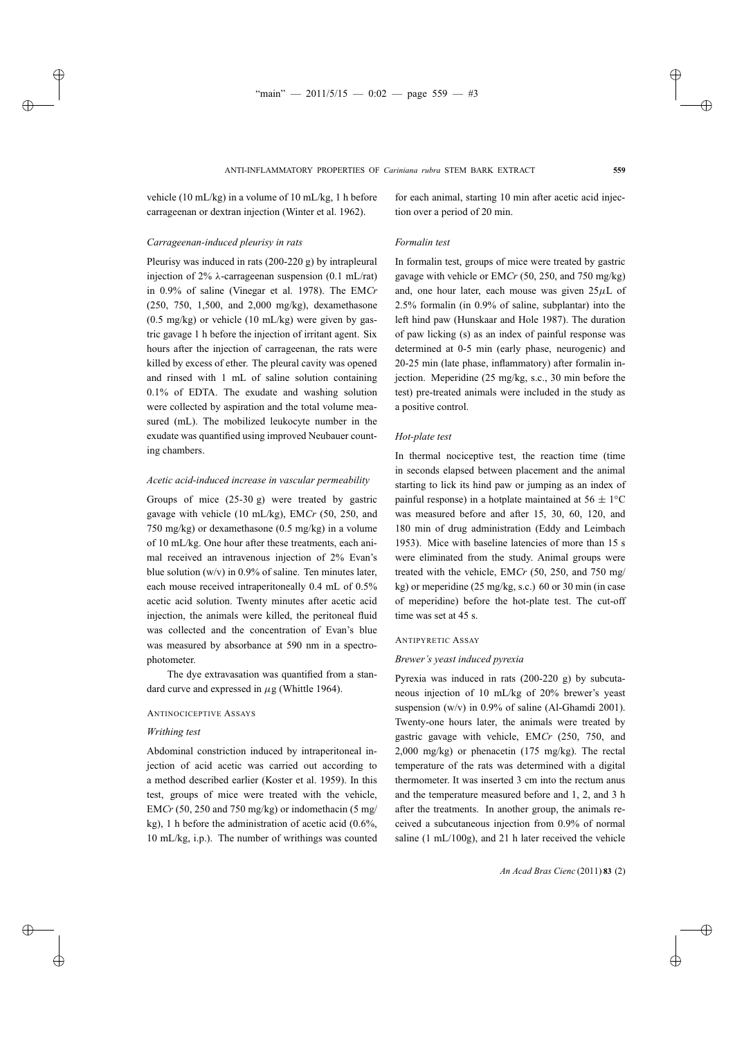vehicle (10 mL/kg) in a volume of 10 mL/kg, 1 h before carrageenan or dextran injection (Winter et al. 1962).

## *Carrageenan-induced pleurisy in rats*

Pleurisy was induced in rats (200-220 g) by intrapleural injection of 2%  $\lambda$ -carrageenan suspension (0.1 mL/rat) in 0.9% of saline (Vinegar et al. 1978). The EM*Cr* (250, 750, 1,500, and 2,000 mg/kg), dexamethasone  $(0.5 \text{ mg/kg})$  or vehicle  $(10 \text{ mL/kg})$  were given by gastric gavage 1 h before the injection of irritant agent. Six hours after the injection of carrageenan, the rats were killed by excess of ether. The pleural cavity was opened and rinsed with 1 mL of saline solution containing 0.1% of EDTA. The exudate and washing solution were collected by aspiration and the total volume measured (mL). The mobilized leukocyte number in the exudate was quantified using improved Neubauer counting chambers.

## *Acetic acid-induced increase in vascular permeability*

Groups of mice (25-30 g) were treated by gastric gavage with vehicle (10 mL/kg), EM*Cr* (50, 250, and 750 mg/kg) or dexamethasone (0.5 mg/kg) in a volume of 10 mL/kg. One hour after these treatments, each animal received an intravenous injection of 2% Evan's blue solution  $(w/v)$  in 0.9% of saline. Ten minutes later, each mouse received intraperitoneally 0.4 mL of 0.5% acetic acid solution. Twenty minutes after acetic acid injection, the animals were killed, the peritoneal fluid was collected and the concentration of Evan's blue was measured by absorbance at 590 nm in a spectrophotometer.

The dye extravasation was quantified from a standard curve and expressed in  $\mu$ g (Whittle 1964).

## ANTINOCICEPTIVE ASSAYS

## *Writhing test*

Abdominal constriction induced by intraperitoneal injection of acid acetic was carried out according to a method described earlier (Koster et al. 1959). In this test, groups of mice were treated with the vehicle, EM*Cr* (50, 250 and 750 mg/kg) or indomethacin (5 mg/ kg), 1 h before the administration of acetic acid (0.6%, 10 mL/kg, i.p.). The number of writhings was counted

for each animal, starting 10 min after acetic acid injection over a period of 20 min.

## *Formalin test*

In formalin test, groups of mice were treated by gastric gavage with vehicle or EM*Cr* (50, 250, and 750 mg/kg) and, one hour later, each mouse was given  $25\mu L$  of 2.5% formalin (in 0.9% of saline, subplantar) into the left hind paw (Hunskaar and Hole 1987). The duration of paw licking (s) as an index of painful response was determined at 0-5 min (early phase, neurogenic) and 20-25 min (late phase, inflammatory) after formalin injection. Meperidine (25 mg/kg, s.c., 30 min before the test) pre-treated animals were included in the study as a positive control.

#### *Hot-plate test*

In thermal nociceptive test, the reaction time (time in seconds elapsed between placement and the animal starting to lick its hind paw or jumping as an index of painful response) in a hotplate maintained at  $56 \pm 1$ <sup>°</sup>C was measured before and after 15, 30, 60, 120, and 180 min of drug administration (Eddy and Leimbach 1953). Mice with baseline latencies of more than 15 s were eliminated from the study. Animal groups were treated with the vehicle, EM*Cr* (50, 250, and 750 mg/ kg) or meperidine (25 mg/kg, s.c.) 60 or 30 min (in case of meperidine) before the hot-plate test. The cut-off time was set at 45 s.

#### ANTIPYRETIC ASSAY

### *Brewer's yeast induced pyrexia*

Pyrexia was induced in rats (200-220 g) by subcutaneous injection of 10 mL/kg of 20% brewer's yeast suspension (w/v) in 0.9% of saline (Al-Ghamdi 2001). Twenty-one hours later, the animals were treated by gastric gavage with vehicle, EM*Cr* (250, 750, and 2,000 mg/kg) or phenacetin (175 mg/kg). The rectal temperature of the rats was determined with a digital thermometer. It was inserted 3 cm into the rectum anus and the temperature measured before and 1, 2, and 3 h after the treatments. In another group, the animals received a subcutaneous injection from 0.9% of normal saline (1 mL/100g), and 21 h later received the vehicle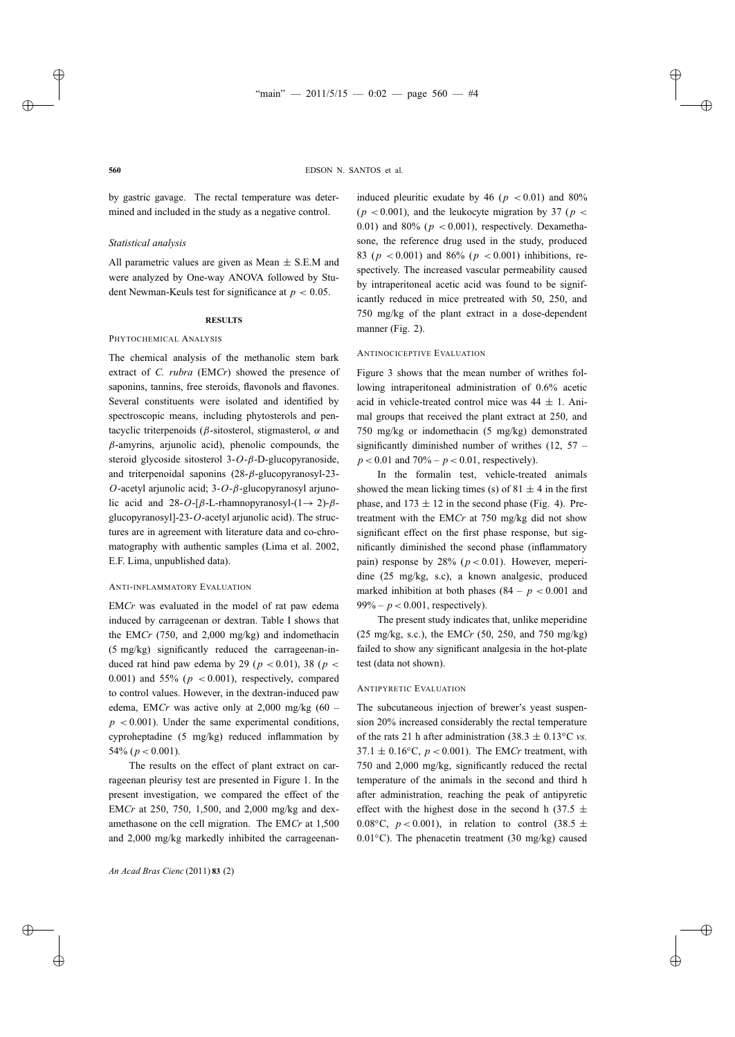by gastric gavage. The rectal temperature was determined and included in the study as a negative control.

## *Statistical analysis*

All parametric values are given as Mean  $\pm$  S.E.M and were analyzed by One-way ANOVA followed by Student Newman-Keuls test for significance at *p* < 0.05.

## **RESULTS**

## PHYTOCHEMICAL ANALYSIS

The chemical analysis of the methanolic stem bark extract of *C. rubra* (EM*Cr*) showed the presence of saponins, tannins, free steroids, flavonols and flavones. Several constituents were isolated and identified by spectroscopic means, including phytosterols and pentacyclic triterpenoids ( $\beta$ -sitosterol, stigmasterol,  $\alpha$  and  $\beta$ -amyrins, arjunolic acid), phenolic compounds, the steroid glycoside sitosterol 3-*O*-β-D-glucopyranoside, and triterpenoidal saponins (28-β-glucopyranosyl-23- *O*-acetyl arjunolic acid; 3-*O*-β-glucopyranosyl arjunolic acid and  $28-O-[ $\beta$ -L-rhamnopy ranosyl-(1 $\rightarrow$ 2)- $\beta$$ glucopyranosyl]-23-*O*-acetyl arjunolic acid). The structures are in agreement with literature data and co-chromatography with authentic samples (Lima et al. 2002, E.F. Lima, unpublished data).

## ANTI-INFLAMMATORY EVALUATION

EM*Cr* was evaluated in the model of rat paw edema induced by carrageenan or dextran. Table I shows that the EM*Cr* (750, and 2,000 mg/kg) and indomethacin (5 mg/kg) significantly reduced the carrageenan-induced rat hind paw edema by 29 ( $p < 0.01$ ), 38 ( $p <$ 0.001) and  $55\%$  ( $p < 0.001$ ), respectively, compared to control values. However, in the dextran-induced paw edema, EM*Cr* was active only at  $2,000$  mg/kg  $(60$  $p < 0.001$ ). Under the same experimental conditions, cyproheptadine (5 mg/kg) reduced inflammation by 54\%  $(p < 0.001)$ .

The results on the effect of plant extract on carrageenan pleurisy test are presented in Figure 1. In the present investigation, we compared the effect of the EM*Cr* at 250, 750, 1,500, and 2,000 mg/kg and dexamethasone on the cell migration. The EM*Cr* at 1,500 and 2,000 mg/kg markedly inhibited the carrageenaninduced pleuritic exudate by  $46$  ( $p < 0.01$ ) and  $80\%$  $(p < 0.001)$ , and the leukocyte migration by 37 ( $p <$ 0.01) and  $80\%$  ( $p < 0.001$ ), respectively. Dexamethasone, the reference drug used in the study, produced 83 ( $p < 0.001$ ) and 86% ( $p < 0.001$ ) inhibitions, respectively. The increased vascular permeability caused by intraperitoneal acetic acid was found to be significantly reduced in mice pretreated with 50, 250, and 750 mg/kg of the plant extract in a dose-dependent manner (Fig. 2).

## ANTINOCICEPTIVE EVALUATION

Figure 3 shows that the mean number of writhes following intraperitoneal administration of 0.6% acetic acid in vehicle-treated control mice was  $44 \pm 1$ . Animal groups that received the plant extract at 250, and 750 mg/kg or indomethacin (5 mg/kg) demonstrated significantly diminished number of writhes  $(12, 57$  $p < 0.01$  and  $70\% - p < 0.01$ , respectively).

In the formalin test, vehicle-treated animals showed the mean licking times (s) of  $81 \pm 4$  in the first phase, and  $173 \pm 12$  in the second phase (Fig. 4). Pretreatment with the EM*Cr* at 750 mg/kg did not show significant effect on the first phase response, but significantly diminished the second phase (inflammatory pain) response by  $28\%$  ( $p < 0.01$ ). However, meperidine (25 mg/kg, s.c), a known analgesic, produced marked inhibition at both phases  $(84 - p < 0.001$  and  $99% - p < 0.001$ , respectively).

The present study indicates that, unlike meperidine (25 mg/kg, s.c.), the EM*Cr* (50, 250, and 750 mg/kg) failed to show any significant analgesia in the hot-plate test (data not shown).

## ANTIPYRETIC EVALUATION

The subcutaneous injection of brewer's yeast suspension 20% increased considerably the rectal temperature of the rats 21 h after administration (38.3  $\pm$  0.13<sup>°</sup>C *vs*.  $37.1 \pm 0.16$ °C,  $p < 0.001$ ). The EMCr treatment, with 750 and 2,000 mg/kg, significantly reduced the rectal temperature of the animals in the second and third h after administration, reaching the peak of antipyretic effect with the highest dose in the second h (37.5  $\pm$ 0.08<sup>°</sup>C,  $p < 0.001$ ), in relation to control (38.5  $\pm$ 0.01◦C). The phenacetin treatment (30 mg/kg) caused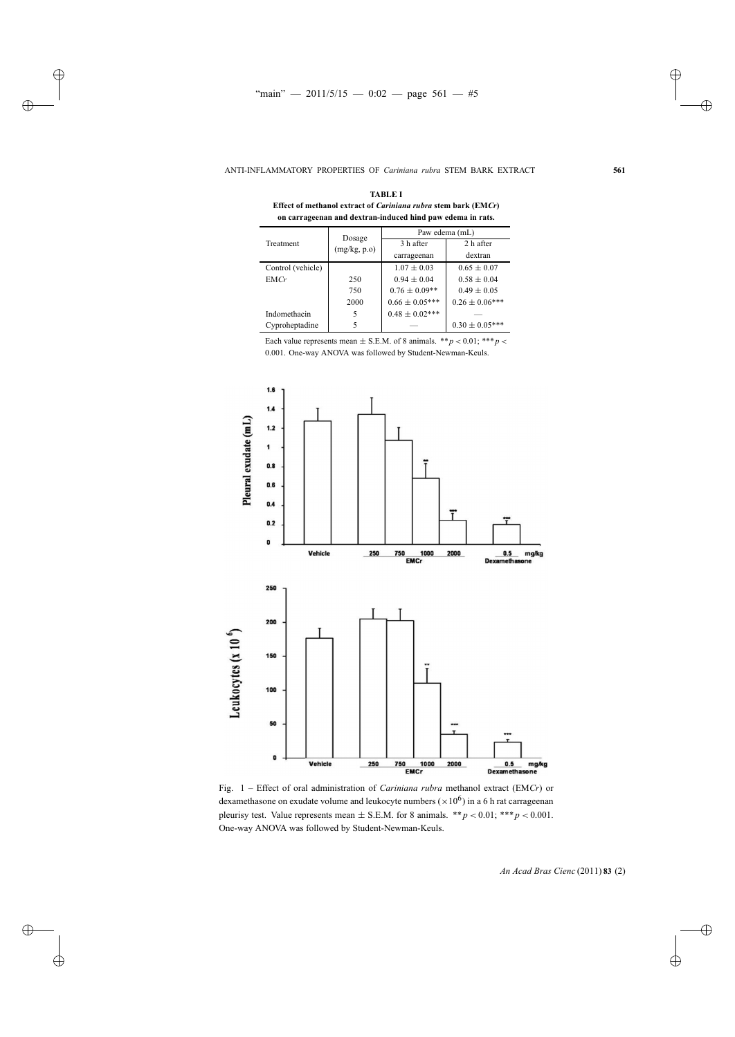| <b>Effect of methanol extract of Cariniana rubra stem dark (EMCr)</b><br>on carrageenan and dextran-induced hind paw edema in rats. |                        |                    |                     |
|-------------------------------------------------------------------------------------------------------------------------------------|------------------------|--------------------|---------------------|
| Treatment                                                                                                                           | Dosage<br>(mg/kg, p.o) | Paw edema (mL)     |                     |
|                                                                                                                                     |                        | 3 h after          | 2 h after           |
|                                                                                                                                     |                        | carrageenan        | dextran             |
| Control (vehicle)                                                                                                                   |                        | $1.07 \pm 0.03$    | $0.65 \pm 0.07$     |
| EMCr                                                                                                                                | 250                    | $0.94 \pm 0.04$    | $0.58 \pm 0.04$     |
|                                                                                                                                     | 750                    | $0.76 \pm 0.09**$  | $0.49 \pm 0.05$     |
|                                                                                                                                     | 2000                   | $0.66 \pm 0.05***$ | $0.26 \pm 0.06$ *** |
| Indomethacin                                                                                                                        | 5                      | $0.48 \pm 0.02***$ |                     |
| Cyproheptadine                                                                                                                      | 5                      |                    | $0.30 \pm 0.05$ *** |

**TABLE I Effect of methanol extract of** *Cariniana rubra* **stem bark (EM***Cr***)**

Each value represents mean  $\pm$  S.E.M. of 8 animals. \*\**p* < 0.01; \*\*\**p* < 0.001. One-way ANOVA was followed by Student-Newman-Keuls.



Fig. 1 – Effect of oral administration of *Cariniana rubra* methanol extract (EM*Cr*) or dexamethasone on exudate volume and leukocyte numbers ( $\times 10^6$ ) in a 6 h rat carrageenan pleurisy test. Value represents mean  $\pm$  S.E.M. for 8 animals. \*\**p* < 0.01; \*\*\**p* < 0.001. One-way ANOVA was followed by Student-Newman-Keuls.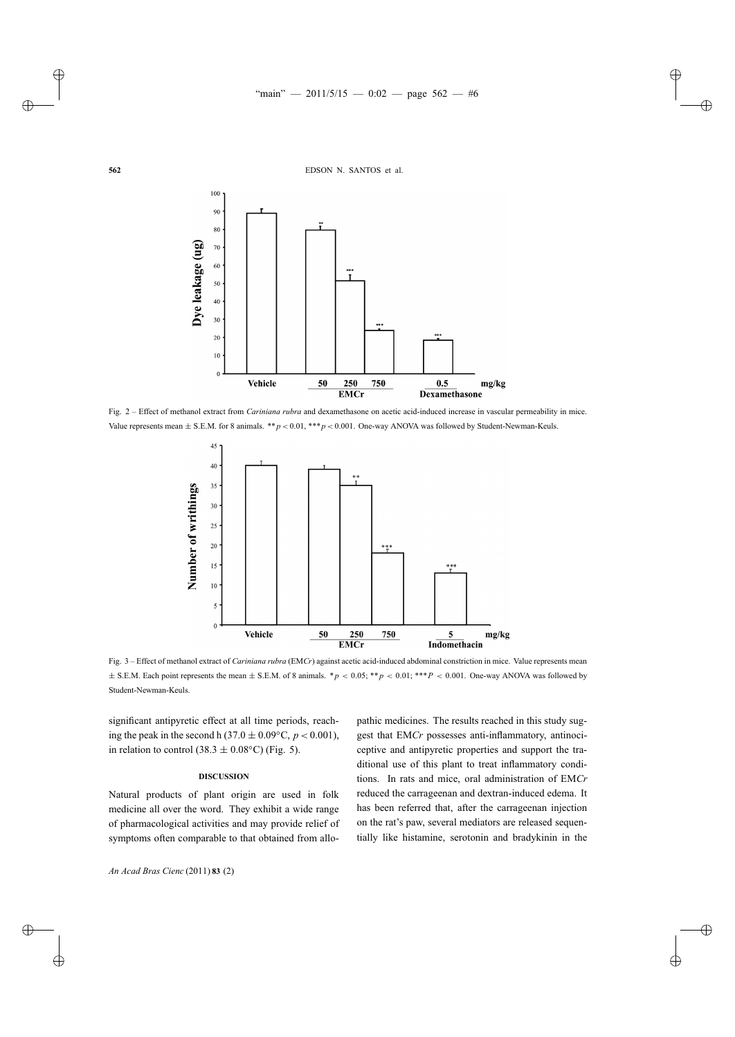

Fig. 2 – Effect of methanol extract from *Cariniana rubra* and dexamethasone on acetic acid-induced increase in vascular permeability in mice. Value represents mean  $\pm$  S.E.M. for 8 animals. \*\**p* < 0.01, \*\*\**p* < 0.001. One-way ANOVA was followed by Student-Newman-Keuls.



Fig. 3 – Effect of methanol extract of *Cariniana rubra* (EM*Cr*) against acetic acid-induced abdominal constriction in mice. Value represents mean ± S.E.M. Each point represents the mean ± S.E.M. of 8 animals. \**p* < 0.05; \*\**p* < 0.01; \*\*\**P* < 0.001. One-way ANOVA was followed by Student-Newman-Keuls.

significant antipyretic effect at all time periods, reaching the peak in the second h (37.0  $\pm$  0.09°C, *p* < 0.001), in relation to control (38.3  $\pm$  0.08°C) (Fig. 5).

### **DISCUSSION**

Natural products of plant origin are used in folk medicine all over the word. They exhibit a wide range of pharmacological activities and may provide relief of symptoms often comparable to that obtained from allo-

pathic medicines. The results reached in this study suggest that EM*Cr* possesses anti-inflammatory, antinociceptive and antipyretic properties and support the traditional use of this plant to treat inflammatory conditions. In rats and mice, oral administration of EM*Cr* reduced the carrageenan and dextran-induced edema. It has been referred that, after the carrageenan injection on the rat's paw, several mediators are released sequentially like histamine, serotonin and bradykinin in the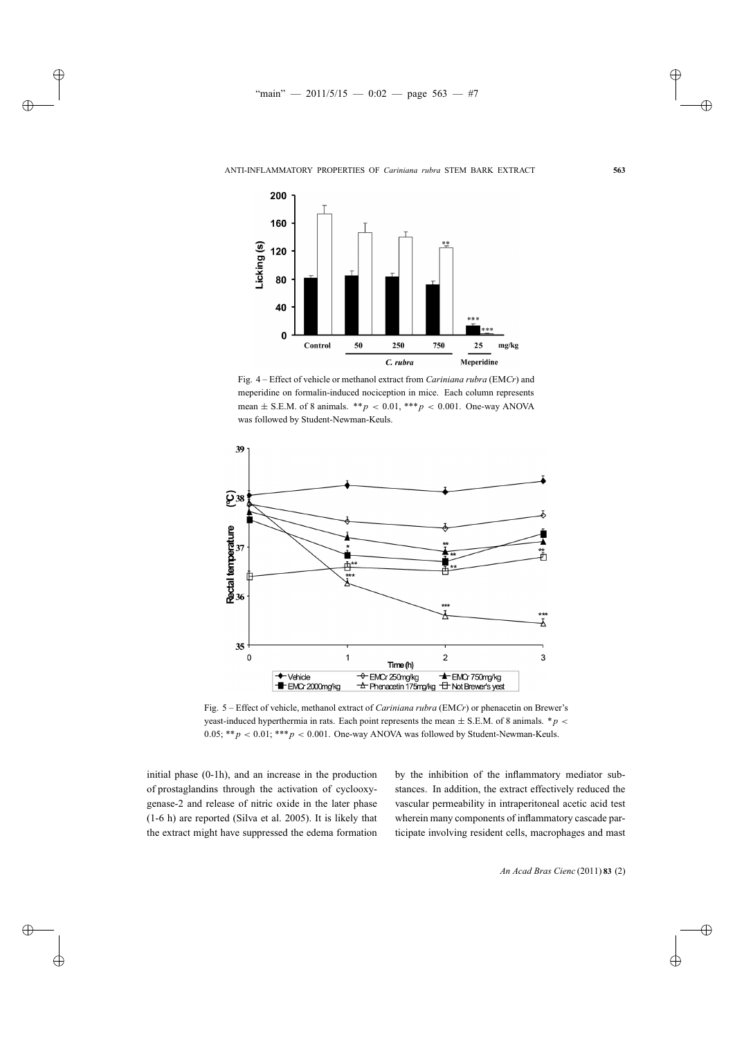

Fig. 4 – Effect of vehicle or methanol extract from *Cariniana rubra* (EM*Cr*) and meperidine on formalin-induced nociception in mice. Each column represents mean  $\pm$  S.E.M. of 8 animals. \*\**p* < 0.01, \*\*\**p* < 0.001. One-way ANOVA was followed by Student-Newman-Keuls.



Fig. 5 – Effect of vehicle, methanol extract of *Cariniana rubra* (EM*Cr*) or phenacetin on Brewer's yeast-induced hyperthermia in rats. Each point represents the mean  $\pm$  S.E.M. of 8 animals.  $*p$ 0.05;  $**p < 0.01$ ;  $***p < 0.001$ . One-way ANOVA was followed by Student-Newman-Keuls.

initial phase (0-1h), and an increase in the production of prostaglandins through the activation of cyclooxygenase-2 and release of nitric oxide in the later phase (1-6 h) are reported (Silva et al. 2005). It is likely that the extract might have suppressed the edema formation

by the inhibition of the inflammatory mediator substances. In addition, the extract effectively reduced the vascular permeability in intraperitoneal acetic acid test wherein many components of inflammatory cascade participate involving resident cells, macrophages and mast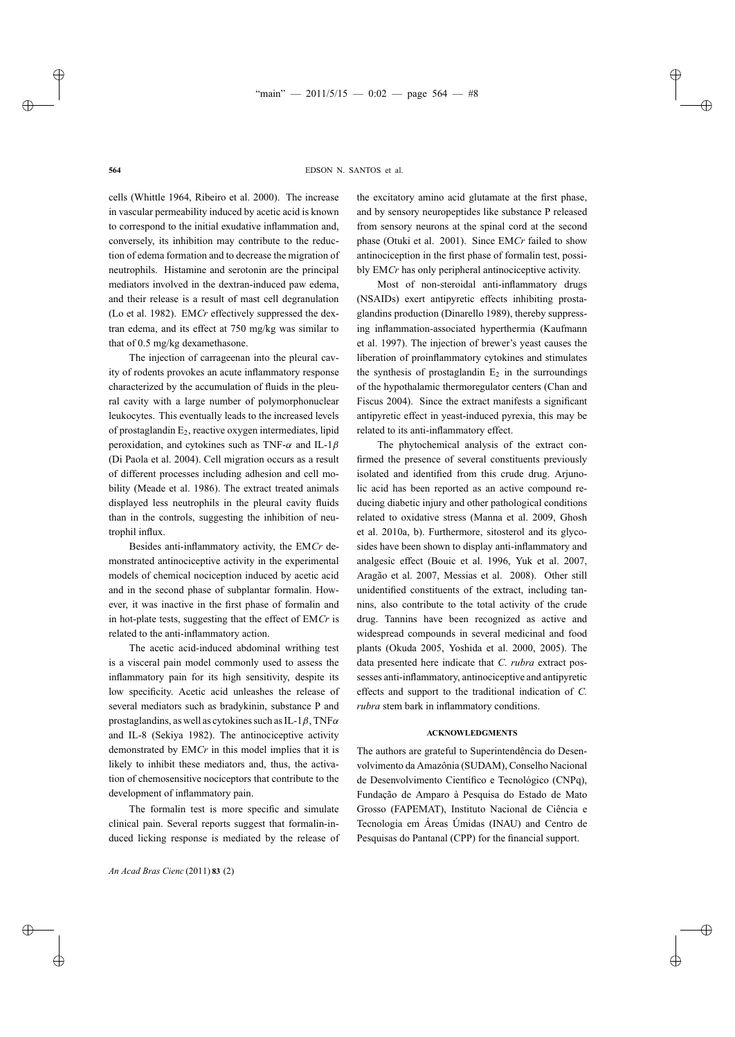cells (Whittle 1964, Ribeiro et al. 2000). The increase in vascular permeability induced by acetic acid is known to correspond to the initial exudative inflammation and, conversely, its inhibition may contribute to the reduction of edema formation and to decrease the migration of neutrophils. Histamine and serotonin are the principal mediators involved in the dextran-induced paw edema, and their release is a result of mast cell degranulation (Lo et al. 1982). EM*Cr* effectively suppressed the dextran edema, and its effect at 750 mg/kg was similar to that of 0.5 mg/kg dexamethasone.

The injection of carrageenan into the pleural cavity of rodents provokes an acute inflammatory response characterized by the accumulation of fluids in the pleural cavity with a large number of polymorphonuclear leukocytes. This eventually leads to the increased levels of prostaglandin  $E_2$ , reactive oxygen intermediates, lipid peroxidation, and cytokines such as TNF- $\alpha$  and IL-1 $\beta$ (Di Paola et al. 2004). Cell migration occurs as a result of different processes including adhesion and cell mobility (Meade et al. 1986). The extract treated animals displayed less neutrophils in the pleural cavity fluids than in the controls, suggesting the inhibition of neutrophil influx.

Besides anti-inflammatory activity, the EM*Cr* demonstrated antinociceptive activity in the experimental models of chemical nociception induced by acetic acid and in the second phase of subplantar formalin. However, it was inactive in the first phase of formalin and in hot-plate tests, suggesting that the effect of EM*Cr* is related to the anti-inflammatory action.

The acetic acid-induced abdominal writhing test is a visceral pain model commonly used to assess the inflammatory pain for its high sensitivity, despite its low specificity. Acetic acid unleashes the release of several mediators such as bradykinin, substance P and prostaglandins, as well as cytokines such as IL-1 $\beta$ , TNF $\alpha$ and IL-8 (Sekiya 1982). The antinociceptive activity demonstrated by EM*Cr* in this model implies that it is likely to inhibit these mediators and, thus, the activation of chemosensitive nociceptors that contribute to the development of inflammatory pain.

The formalin test is more specific and simulate clinical pain. Several reports suggest that formalin-induced licking response is mediated by the release of

*An Acad Bras Cienc* (2011) **83** (2)

the excitatory amino acid glutamate at the first phase, and by sensory neuropeptides like substance P released from sensory neurons at the spinal cord at the second phase (Otuki et al. 2001). Since EM*Cr* failed to show antinociception in the first phase of formalin test, possibly EM*Cr* has only peripheral antinociceptive activity.

Most of non-steroidal anti-inflammatory drugs (NSAIDs) exert antipyretic effects inhibiting prostaglandins production (Dinarello 1989), thereby suppressing inflammation-associated hyperthermia (Kaufmann et al. 1997). The injection of brewer's yeast causes the liberation of proinflammatory cytokines and stimulates the synthesis of prostaglandin  $E_2$  in the surroundings of the hypothalamic thermoregulator centers (Chan and Fiscus 2004). Since the extract manifests a significant antipyretic effect in yeast-induced pyrexia, this may be related to its anti-inflammatory effect.

The phytochemical analysis of the extract confirmed the presence of several constituents previously isolated and identified from this crude drug. Arjunolic acid has been reported as an active compound reducing diabetic injury and other pathological conditions related to oxidative stress (Manna et al. 2009, Ghosh et al. 2010a, b). Furthermore, sitosterol and its glycosides have been shown to display anti-inflammatory and analgesic effect (Bouic et al. 1996, Yuk et al. 2007, Aragão et al. 2007, Messias et al. 2008). Other still unidentified constituents of the extract, including tannins, also contribute to the total activity of the crude drug. Tannins have been recognized as active and widespread compounds in several medicinal and food plants (Okuda 2005, Yoshida et al. 2000, 2005). The data presented here indicate that *C. rubra* extract possesses anti-inflammatory, antinociceptive and antipyretic effects and support to the traditional indication of *C. rubra* stem bark in inflammatory conditions.

## **ACKNOWLEDGMENTS**

The authors are grateful to Superintendência do Desenvolvimento da Amazônia (SUDAM), Conselho Nacional de Desenvolvimento Científico e Tecnológico (CNPq), Fundação de Amparo à Pesquisa do Estado de Mato Grosso (FAPEMAT), Instituto Nacional de Ciência e Tecnologia em Áreas Úmidas (INAU) and Centro de Pesquisas do Pantanal (CPP) for the financial support.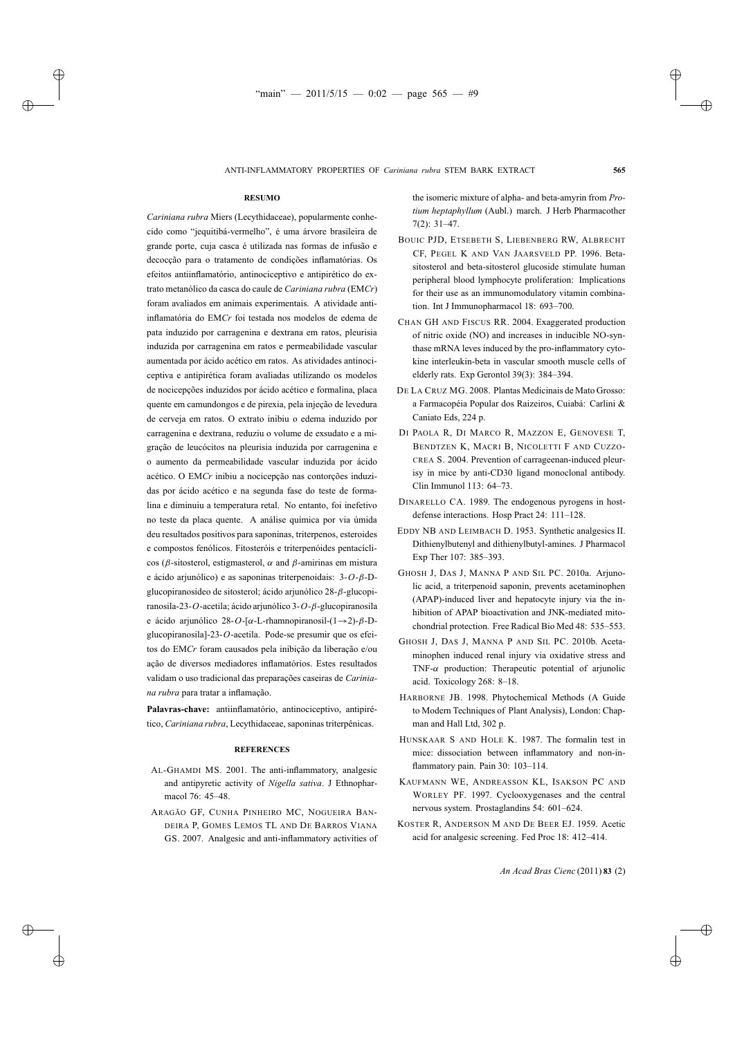## **RESUMO**

*Cariniana rubra* Miers (Lecythidaceae), popularmente conhecido como "jequitibá-vermelho", é uma árvore brasileira de grande porte, cuja casca é utilizada nas formas de infusão e decocção para o tratamento de condições inflamatórias. Os efeitos antiinflamatório, antinociceptivo e antipirético do extrato metanólico da casca do caule de *Cariniana rubra* (EM*Cr*) foram avaliados em animais experimentais. A atividade antiinflamatória do EM*Cr* foi testada nos modelos de edema de pata induzido por carragenina e dextrana em ratos, pleurisia induzida por carragenina em ratos e permeabilidade vascular aumentada por ácido acético em ratos. As atividades antinociceptiva e antipirética foram avaliadas utilizando os modelos de nocicepções induzidos por ácido acético e formalina, placa quente em camundongos e de pirexia, pela injeção de levedura de cerveja em ratos. O extrato inibiu o edema induzido por carragenina e dextrana, reduziu o volume de exsudato e a migração de leucócitos na pleurisia induzida por carragenina e o aumento da permeabilidade vascular induzida por ácido acético. O EM*Cr* inibiu a nocicepção nas contorções induzidas por ácido acético e na segunda fase do teste de formalina e diminuiu a temperatura retal. No entanto, foi inefetivo no teste da placa quente. A análise química por via úmida deu resultados positivos para saponinas, triterpenos, esteroides e compostos fenólicos. Fitosteróis e triterpenóides pentacíclicos (β-sitosterol, estigmasterol, α and β-amirinas em mistura e ácido arjunólico) e as saponinas triterpenoidais: 3-*O*-β-Dglucopiranosideo de sitosterol; ácido arjunólico 28-β-glucopiranosila-23-*O*-acetila; ácido arjunólico 3-*O*-β-glucopiranosila e ácido arjunólico 28-*O*-[α-L-rhamnopiranosil-(1→2)-β-Dglucopiranosila]-23-*O*-acetila. Pode-se presumir que os efeitos do EM*Cr* foram causados pela inibição da liberação e/ou ação de diversos mediadores inflamatórios. Estes resultados validam o uso tradicional das preparações caseiras de *Cariniana rubra* para tratar a inflamação.

**Palavras-chave:** antiinflamatório, antinociceptivo, antipirético, *Cariniana rubra*, Lecythidaceae, saponinas triterpênicas.

#### **REFERENCES**

- AL-GHAMDI MS. 2001. The anti-inflammatory, analgesic and antipyretic activity of *Nigella sativa*. J Ethnopharmacol 76: 45–48.
- ARAGÃO GF, CUNHA PINHEIRO MC, NOGUEIRA BAN-DEIRA P, GOMES LEMOS TL AND DE BARROS VIANA GS. 2007. Analgesic and anti-inflammatory activities of

the isomeric mixture of alpha- and beta-amyrin from *Protium heptaphyllum* (Aubl.) march. J Herb Pharmacother 7(2): 31–47.

- BOUIC PJD, ETSEBETH S, LIEBENBERG RW, ALBRECHT CF, PEGEL K AND VAN JAARSVELD PP. 1996. Betasitosterol and beta-sitosterol glucoside stimulate human peripheral blood lymphocyte proliferation: Implications for their use as an immunomodulatory vitamin combination. Int J Immunopharmacol 18: 693–700.
- CHAN GH AND FISCUS RR. 2004. Exaggerated production of nitric oxide (NO) and increases in inducible NO-synthase mRNA leves induced by the pro-inflammatory cytokine interleukin-beta in vascular smooth muscle cells of elderly rats. Exp Gerontol 39(3): 384–394.
- DE LA CRUZ MG. 2008. Plantas Medicinais de Mato Grosso: a Farmacopéia Popular dos Raizeiros, Cuiabá: Carlini & Caniato Eds, 224 p.
- DI PAOLA R, DI MARCO R, MAZZON E, GENOVESE T, BENDTZEN K, MACRI B, NICOLETTI F AND CUZZO-CREA S. 2004. Prevention of carrageenan-induced pleurisy in mice by anti-CD30 ligand monoclonal antibody. Clin Immunol 113: 64–73.
- DINARELLO CA. 1989. The endogenous pyrogens in hostdefense interactions. Hosp Pract 24: 111–128.
- EDDY NB AND LEIMBACH D. 1953. Synthetic analgesics II. Dithienylbutenyl and dithienylbutyl-amines. J Pharmacol Exp Ther 107: 385–393.
- GHOSH J, DAS J, MANNA P AND SIL PC. 2010a. Arjunolic acid, a triterpenoid saponin, prevents acetaminophen (APAP)-induced liver and hepatocyte injury via the inhibition of APAP bioactivation and JNK-mediated mitochondrial protection. Free Radical Bio Med 48: 535–553.
- GHOSH J, DAS J, MANNA P AND SIL PC. 2010b. Acetaminophen induced renal injury via oxidative stress and TNF- $\alpha$  production: Therapeutic potential of arjunolic acid. Toxicology 268: 8–18.
- HARBORNE JB. 1998. Phytochemical Methods (A Guide to Modern Techniques of Plant Analysis), London: Chapman and Hall Ltd, 302 p.
- HUNSKAAR S AND HOLE K. 1987. The formalin test in mice: dissociation between inflammatory and non-inflammatory pain. Pain 30: 103–114.
- KAUFMANN WE, ANDREASSON KL, ISAKSON PC AND WORLEY PF. 1997. Cyclooxygenases and the central nervous system. Prostaglandins 54: 601–624.
- KOSTER R, ANDERSON M AND DE BEER EJ. 1959. Acetic acid for analgesic screening. Fed Proc 18: 412–414.